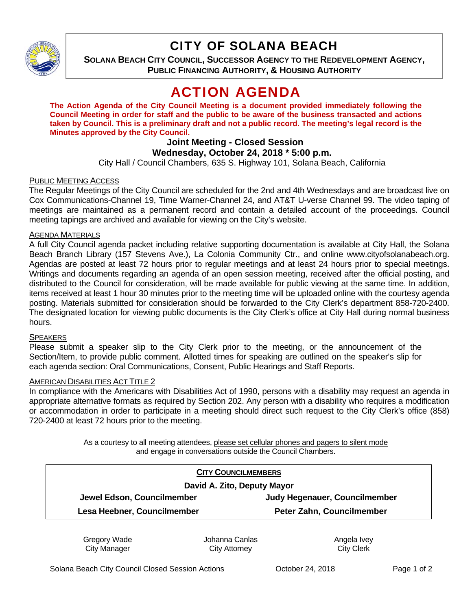

# CITY OF SOLANA BEACH

**SOLANA BEACH CITY COUNCIL, SUCCESSOR AGENCY TO THE REDEVELOPMENT AGENCY, PUBLIC FINANCING AUTHORITY, & HOUSING AUTHORITY**

# ACTION AGENDA

**The Action Agenda of the City Council Meeting is a document provided immediately following the Council Meeting in order for staff and the public to be aware of the business transacted and actions taken by Council. This is a preliminary draft and not a public record. The meeting's legal record is the Minutes approved by the City Council.** 

# **Joint Meeting - Closed Session**

# **Wednesday, October 24, 2018 \* 5:00 p.m.**

City Hall / Council Chambers, 635 S. Highway 101, Solana Beach, California

## PUBLIC MEETING ACCESS

The Regular Meetings of the City Council are scheduled for the 2nd and 4th Wednesdays and are broadcast live on Cox Communications-Channel 19, Time Warner-Channel 24, and AT&T U-verse Channel 99. The video taping of meetings are maintained as a permanent record and contain a detailed account of the proceedings. Council meeting tapings are archived and available for viewing on the City's website.

### AGENDA MATERIALS

A full City Council agenda packet including relative supporting documentation is available at City Hall, the Solana Beach Branch Library (157 Stevens Ave.), La Colonia Community Ctr., and online www.cityofsolanabeach.org. Agendas are posted at least 72 hours prior to regular meetings and at least 24 hours prior to special meetings. Writings and documents regarding an agenda of an open session meeting, received after the official posting, and distributed to the Council for consideration, will be made available for public viewing at the same time. In addition, items received at least 1 hour 30 minutes prior to the meeting time will be uploaded online with the courtesy agenda posting. Materials submitted for consideration should be forwarded to the City Clerk's department 858-720-2400. The designated location for viewing public documents is the City Clerk's office at City Hall during normal business hours.

### **SPEAKERS**

Please submit a speaker slip to the City Clerk prior to the meeting, or the announcement of the Section/Item, to provide public comment. Allotted times for speaking are outlined on the speaker's slip for each agenda section: Oral Communications, Consent, Public Hearings and Staff Reports.

### AMERICAN DISABILITIES ACT TITLE 2

In compliance with the Americans with Disabilities Act of 1990, persons with a disability may request an agenda in appropriate alternative formats as required by Section 202. Any person with a disability who requires a modification or accommodation in order to participate in a meeting should direct such request to the City Clerk's office (858) 720-2400 at least 72 hours prior to the meeting.

> As a courtesy to all meeting attendees, please set cellular phones and pagers to silent mode and engage in conversations outside the Council Chambers.

| <b>CITY COUNCILMEMBERS</b>  |                                  |
|-----------------------------|----------------------------------|
| David A. Zito, Deputy Mayor |                                  |
| Jewel Edson, Councilmember  | Judy Hegenauer, Councilmember    |
| Lesa Heebner, Councilmember | <b>Peter Zahn, Councilmember</b> |
|                             |                                  |

Gregory Wade City Manager

Johanna Canlas City Attorney